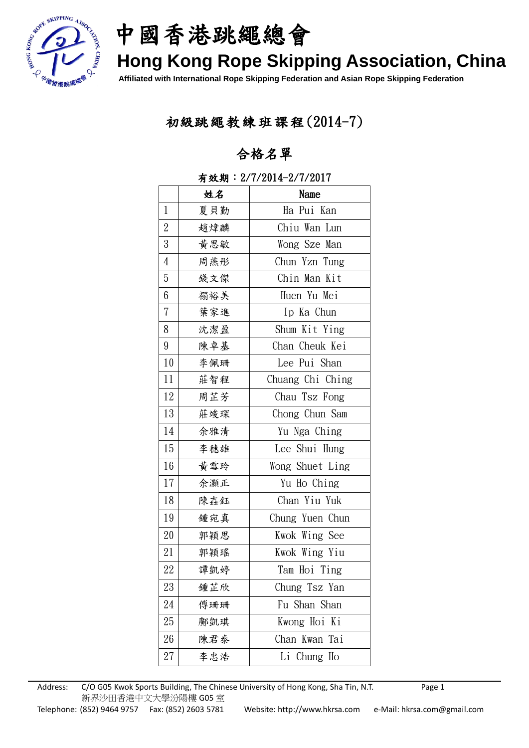

中國香港跳繩總會

# **Hong Kong Rope Skipping Association, China**

**Affiliated with International Rope Skipping Federation and Asian Rope Skipping Federation**

### 初級跳繩教練班課程(2014-7)

### 合格名單

|                  | 姓名  | Name             |
|------------------|-----|------------------|
| $\mathbf{1}$     | 夏貝勤 | Ha Pui Kan       |
| $\sqrt{2}$       | 趙煒麟 | Chiu Wan Lun     |
| $\boldsymbol{3}$ | 黃思敏 | Wong Sze Man     |
| $\overline{4}$   | 周燕彤 | Chun Yzn Tung    |
| $\bf 5$          | 錢文傑 | Chin Man Kit     |
| 6                | 禤裕美 | Huen Yu Mei      |
| $\sqrt{ }$       | 葉家進 | Ip Ka Chun       |
| 8                | 沈潔盈 | Shum Kit Ying    |
| $9\phantom{.0}$  | 陳卓基 | Chan Cheuk Kei   |
| 10               | 李佩珊 | Lee Pui Shan     |
| 11               | 莊智程 | Chuang Chi Ching |
| 12               | 周芷芳 | Chau Tsz Fong    |
| 13               | 莊竣琛 | Chong Chun Sam   |
| 14               | 余雅清 | Yu Nga Ching     |
| 15               | 李穗雄 | Lee Shui Hung    |
| 16               | 黃雪玲 | Wong Shuet Ling  |
| 17               | 余灝正 | Yu Ho Ching      |
| 18               | 陳壵鈺 | Chan Yiu Yuk     |
| 19               | 鍾宛真 | Chung Yuen Chun  |
| 20               | 郭穎思 | Kwok Wing See    |
| 21               | 郭穎瑤 | Kwok Wing Yiu    |
| 22               | 譚凱婷 | Tam Hoi Ting     |
| 23               | 鍾芷欣 | Chung Tsz Yan    |
| 24               | 傅珊珊 | Fu Shan Shan     |
| 25               | 鄺凱琪 | Kwong Hoi Ki     |
| 26               | 陳君泰 | Chan Kwan Tai    |
| 27               | 李忠浩 | Li Chung Ho      |

#### 有效期:2/7/2014-2/7/2017

Address: C/O G05 Kwok Sports Building, The Chinese University of Hong Kong, Sha Tin, N.T. Page 1 新界沙田香港中文大學汾陽樓 G05 室 Telephone: (852) 9464 9757 Fax: (852) 2603 5781 Website: http://www.hkrsa.com e-Mail: hkrsa.com@gmail.com